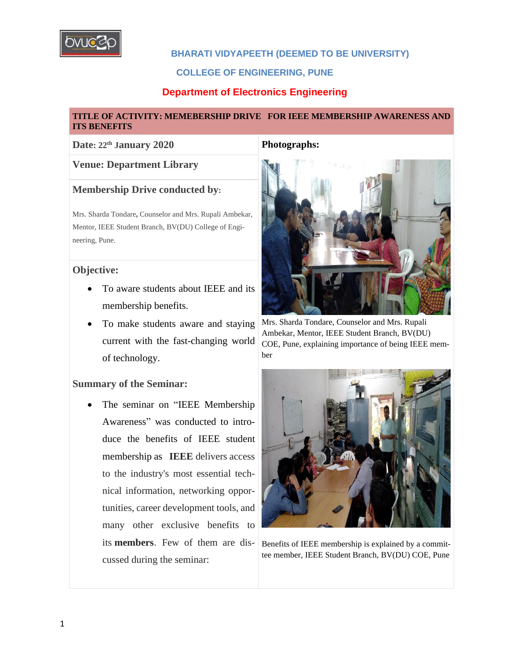

## **BHARATI VIDYAPEETH (DEEMED TO BE UNIVERSITY)**

## **COLLEGE OF ENGINEERING, PUNE**

## **Department of Electronics Engineering**

#### **TITLE OF ACTIVITY: MEMEBERSHIP DRIVE FOR IEEE MEMBERSHIP AWARENESS AND ITS BENEFITS**

#### **Date: 22 th January 2020 Photographs:**

#### **Venue: Department Library**

## **Membership Drive conducted by:**

Mrs. Sharda Tondare**,** Counselor and Mrs. Rupali Ambekar, Mentor, IEEE Student Branch, BV(DU) College of Engineering, Pune.

## **Objective:**

- To aware students about IEEE and its membership benefits.
- To make students aware and staying current with the fast-changing world of technology.

#### **Summary of the Seminar:**

• The seminar on "IEEE Membership Awareness" was conducted to introduce the benefits of IEEE student membership as **IEEE** delivers access to the industry's most essential technical information, networking opportunities, career development tools, and many other exclusive benefits to its **members**. Few of them are discussed during the seminar:



Mrs. Sharda Tondare, Counselor and Mrs. Rupali Ambekar, Mentor, IEEE Student Branch, BV(DU) COE, Pune, explaining importance of being IEEE member



Benefits of IEEE membership is explained by a committee member, IEEE Student Branch, BV(DU) COE, Pune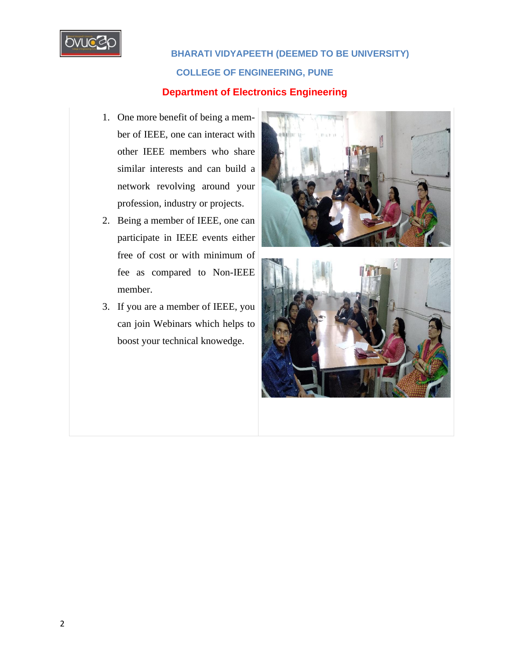

 **BHARATI VIDYAPEETH (DEEMED TO BE UNIVERSITY) COLLEGE OF ENGINEERING, PUNE**

# **Department of Electronics Engineering**

- 1. One more benefit of being a member of IEEE, one can interact with other IEEE members who share similar interests and can build a network revolving around your profession, industry or projects.
- 2. Being a member of IEEE, one can participate in IEEE events either free of cost or with minimum of fee as compared to Non-IEEE member.
- 3. If you are a member of IEEE, you can join Webinars which helps to boost your technical knowedge.